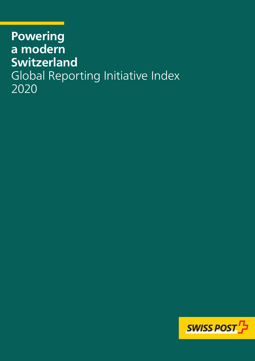# **Powering a modern Switzerland** Global Reporting Initiative Index 2020

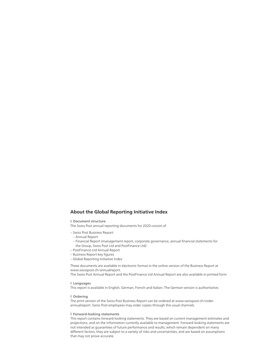### **About the Global Reporting Initiative Index**

**Document structure**

The Swiss Post annual reporting documents for 2020 consist of:

- Swiss Post Business Report:
	- Annual Report
	- Financial Report (management report, corporate governance, annual financial statements for the Group, Swiss Post Ltd and PostFinance Ltd)
- PostFinance Ltd Annual Report
- Business Report key figures
- Global Reporting Initiative Index

These documents are available in electronic format in the online version of the Business Report at www.swisspost.ch/annualreport.

The Swiss Post Annual Report and the PostFinance Ltd Annual Report are also available in printed form.

**Languages**

This report is available in English, German, French and Italian. The German version is authoritative.

### **Ordering**

The print version of the Swiss Post Business Report can be ordered at [www.swisspost.ch/order](http://www.post.ch/bestellung-geschaeftsbericht)[annualreport](http://www.post.ch/bestellung-geschaeftsbericht). Swiss Post employees may order copies through the usual channels.

#### **Forward-looking statements**

This report contains forward-looking statements. They are based on current management estimates and projections, and on the information currently available to management. Forward-looking statements are not intended as guarantees of future performance and results, which remain dependent on many different factors; they are subject to a variety of risks and uncertainties, and are based on assumptions that may not prove accurate.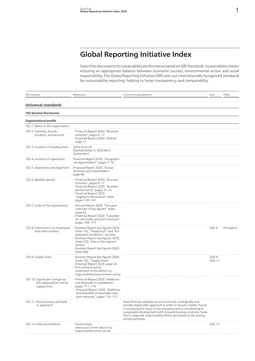# **Global Reporting Initiative Index**

Swiss Post documents its sustainability performance based on GRI Standards. Sustainability means ensuring an appropriate balance between economic success, environmental action and social responsibility. The Global Reporting Initiative (GRI) sets out internationally recognized standards for sustainability reporting, helping to foster transparency and comparability.

| <b>GRI</b> indicator                                                       | References                                                                                                                                                                                                                                                                  | Comments and additions                                                                                                                                                                                                                                                                                                                                    | SDG                   | <b>UNGC</b> |
|----------------------------------------------------------------------------|-----------------------------------------------------------------------------------------------------------------------------------------------------------------------------------------------------------------------------------------------------------------------------|-----------------------------------------------------------------------------------------------------------------------------------------------------------------------------------------------------------------------------------------------------------------------------------------------------------------------------------------------------------|-----------------------|-------------|
| <b>Universal standards</b>                                                 |                                                                                                                                                                                                                                                                             |                                                                                                                                                                                                                                                                                                                                                           |                       |             |
| <b>102 General Disclosures</b>                                             |                                                                                                                                                                                                                                                                             |                                                                                                                                                                                                                                                                                                                                                           |                       |             |
| <b>Organizational profile</b>                                              |                                                                                                                                                                                                                                                                             |                                                                                                                                                                                                                                                                                                                                                           |                       |             |
| 102-1: Name of the organization                                            |                                                                                                                                                                                                                                                                             |                                                                                                                                                                                                                                                                                                                                                           |                       |             |
| 102-2: Activities, brands,<br>products, and services                       | - Financial Report 2020, "Business<br>activities", pages 6-11<br>- Financial Report 2020, "Brands",<br>page 11                                                                                                                                                              |                                                                                                                                                                                                                                                                                                                                                           |                       |             |
| 102-3: Location of headquarters                                            | Swiss Post Ltd<br>Wankdorfallee 4, 3030 Bern,<br>Switzerland                                                                                                                                                                                                                |                                                                                                                                                                                                                                                                                                                                                           |                       |             |
| 102-4: Location of operations                                              | Financial Report 2020, "Geographi-<br>cal segmentation", pages 7-10                                                                                                                                                                                                         |                                                                                                                                                                                                                                                                                                                                                           |                       |             |
| 102-5: Ownership and legal form                                            | Financial Report 2020, "Group<br>structure and shareholders",<br>page 68                                                                                                                                                                                                    |                                                                                                                                                                                                                                                                                                                                                           |                       |             |
| 102-6: Markets served                                                      | - Financial Report 2020, "Business<br>activities", pages 6-11<br>- Financial Report 2020, "Business<br>performance", pages 31-51<br>- Financial Report 2020,<br>"Segment information" table,<br>pages 138-141                                                               |                                                                                                                                                                                                                                                                                                                                                           |                       |             |
| 102-7: Scale of the organization                                           | - Annual Report 2020, "Five-year<br>overview of key figures" table,<br>page 63<br>- Financial Report 2020, "Subsidiar-<br>ies, associates and joint ventures",<br>pages 169-173                                                                                             |                                                                                                                                                                                                                                                                                                                                                           |                       |             |
| 102-8: Information on employees<br>and other workers                       | Business Report key figures 2020,<br>$\overline{\phantom{a}}$<br>sheet 102, "Headcount" and "Em-<br>ployment conditions" sections<br>- Business Report key figures 2020,<br>sheet 203, "Jobs in the regions"<br>section<br>– Business Report key figures 2020,<br>sheet 404 |                                                                                                                                                                                                                                                                                                                                                           | SDG8                  | Principle 6 |
| 102-9: Supply chain                                                        | – Business Report key figures 2020,<br>sheet 102, "Supply chain"<br>- Financial Report 2020, page 26<br>- Procurement policy:<br>www.post.ch/en/about-us/<br>responsibility/procurement-policy                                                                              |                                                                                                                                                                                                                                                                                                                                                           | SDG8<br><b>SDG 12</b> |             |
| 102-10: Significant changes to<br>the organization and its<br>supply chain | - Financial Report 2020, "Additions<br>and disposals of subsidiaries",<br>pages 171-174<br>- Financial Report 2020, "Additions<br>and disposals of associates and<br>joint ventures", pages 174-175                                                                         |                                                                                                                                                                                                                                                                                                                                                           |                       |             |
| 102-11: Precautionary principle<br>or approach                             |                                                                                                                                                                                                                                                                             | Swiss Post has adopted an economically, ecologically and<br>socially responsible approach in order to ensure a better future,<br>is increasing the value of the company and is contributing to<br>sustainable development with forward-looking solutions. Swiss<br>Post's corporate responsibility efforts are based on the precau-<br>tionary principle. |                       |             |
| 102-12: External initiatives                                               | - Partnerships:<br>www.post.ch/en/about-us/<br>responsibility/what-we-do                                                                                                                                                                                                    |                                                                                                                                                                                                                                                                                                                                                           | <b>SDG 17</b>         |             |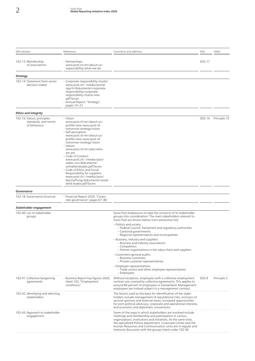| <b>GRI</b> indicator                                                | References                                                                                                                                                                                                                                                                                                                                                                                                                                                                                                                    | Comments and additions                                                                                                                                                                                                                                                                                                                                                                                                                                                                                                                                                                                                                                                                                           | <b>SDG</b>    | UNGC         |
|---------------------------------------------------------------------|-------------------------------------------------------------------------------------------------------------------------------------------------------------------------------------------------------------------------------------------------------------------------------------------------------------------------------------------------------------------------------------------------------------------------------------------------------------------------------------------------------------------------------|------------------------------------------------------------------------------------------------------------------------------------------------------------------------------------------------------------------------------------------------------------------------------------------------------------------------------------------------------------------------------------------------------------------------------------------------------------------------------------------------------------------------------------------------------------------------------------------------------------------------------------------------------------------------------------------------------------------|---------------|--------------|
| 102-13: Membership<br>of associations                               | - Partnerships:<br>www.post.ch/en/about-us/<br>responsibility/what-we-do                                                                                                                                                                                                                                                                                                                                                                                                                                                      |                                                                                                                                                                                                                                                                                                                                                                                                                                                                                                                                                                                                                                                                                                                  | <b>SDG 17</b> |              |
| <b>Strategy</b>                                                     |                                                                                                                                                                                                                                                                                                                                                                                                                                                                                                                               |                                                                                                                                                                                                                                                                                                                                                                                                                                                                                                                                                                                                                                                                                                                  |               |              |
| 102-14: Statement from senior<br>decision-maker                     | - Corporate responsibility charter<br>www.post.ch/-/media/portal-<br>opp/k/dokumente/corporate-<br>responsibility/corporate-<br>responsibility-charta-new.<br>pdf?la=en<br>- Annual Report, "Strategy",<br>pages 14-23                                                                                                                                                                                                                                                                                                        |                                                                                                                                                                                                                                                                                                                                                                                                                                                                                                                                                                                                                                                                                                                  |               |              |
| <b>Ethics and integrity</b>                                         |                                                                                                                                                                                                                                                                                                                                                                                                                                                                                                                               |                                                                                                                                                                                                                                                                                                                                                                                                                                                                                                                                                                                                                                                                                                                  |               |              |
| 102-16: Values, principles,<br>standards, and norms<br>of behaviour | - Vision:<br>www.post.ch/en/about-us/<br>profile/new-swiss-post-of-<br>tomorrow-strategy/vision<br>- Self-perception:<br>www.post.ch/en/about-us/<br>profile/new-swiss-post-of-<br>tomorrow-strategy/vision<br>- Values:<br>www.post.ch/en/jobs/who-<br>we-are<br>- Code of Conduct:<br>www.post.ch/-/media/post/<br>ueber-uns/dokumente/<br>verhaltenskodex.pdf?la=en<br>- Code of Ethics and Social<br>Responsibility for suppliers:<br>www.post.ch/-/media/post/<br>beschaffung/dokumente/sozial-<br>ethik-kodex.pdf?la=en |                                                                                                                                                                                                                                                                                                                                                                                                                                                                                                                                                                                                                                                                                                                  | <b>SDG 16</b> | Principle 10 |
| Governance                                                          |                                                                                                                                                                                                                                                                                                                                                                                                                                                                                                                               |                                                                                                                                                                                                                                                                                                                                                                                                                                                                                                                                                                                                                                                                                                                  |               |              |
| 102-18: Governance structure                                        | - Financial Report 2020, "Corpo-<br>rate governance", pages 67-80                                                                                                                                                                                                                                                                                                                                                                                                                                                             |                                                                                                                                                                                                                                                                                                                                                                                                                                                                                                                                                                                                                                                                                                                  |               |              |
| Stakeholder engagement                                              |                                                                                                                                                                                                                                                                                                                                                                                                                                                                                                                               |                                                                                                                                                                                                                                                                                                                                                                                                                                                                                                                                                                                                                                                                                                                  |               |              |
| 102-40: List of stakeholder<br>groups                               |                                                                                                                                                                                                                                                                                                                                                                                                                                                                                                                               | Swiss Post endeavours to take the concerns of its stakeholder<br>groups into consideration. The main stakeholders relevant to<br>Swiss Post are shown below (non-exhaustive list):<br>- Politics and society:<br>- Federal Council, Parliament and regulatory authorities<br>- Cantonal governments<br>- Regional representatives and municipalities<br>- Business, industry and suppliers:<br>- Business and industry associations<br>- Competitors<br>- Partner organizations in the value chain and suppliers<br>- Customers/general public:<br>- Business customers<br>- Private customer representatives<br>- Employee representatives:<br>- Trade unions and other employee representatives<br>– Employees |               |              |
| 102-41: Collective bargaining<br>agreements                         | - Business Report key figures 2020,<br>sheet 102, "Employment<br>conditions"                                                                                                                                                                                                                                                                                                                                                                                                                                                  | Without exception, employees with a collective employment<br>contract are covered by collective agreements. This applies to<br>around 80 percent of employees in Switzerland. Management<br>employees are instead subject to a management contract.                                                                                                                                                                                                                                                                                                                                                                                                                                                              | SDG8          | Principle 3  |
| 102-42: Identifying and selecting<br>stakeholders                   |                                                                                                                                                                                                                                                                                                                                                                                                                                                                                                                               | The factors used as the basis for identification of the stake-<br>holders include management of reputational risks, inclusion of<br>second opinions and external views, increased opportunities<br>for joint political advocacy, corporate and operational interests,<br>and economic and diplomatic conventions.                                                                                                                                                                                                                                                                                                                                                                                                |               |              |
| 102-43: Approach to stakeholder<br>engagement                       |                                                                                                                                                                                                                                                                                                                                                                                                                                                                                                                               | Some of the ways in which stakeholders are involved include<br>meetings and membership and participation in various<br>organizations, institutions and initiatives. At the same time,<br>the specialized Politics department, Corporate Center and the<br>Human Resources and Communication units are in regular and<br>intensive discussion with the groups listed under 102-40.                                                                                                                                                                                                                                                                                                                                |               |              |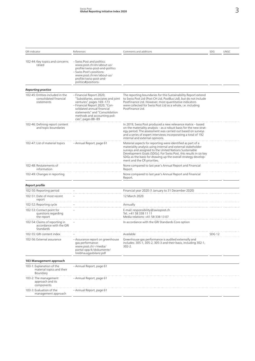| <b>GRI</b> indicator                                                     | References                                                                                                                                                                                                                                          | Comments and additions                                                                                                                                                                                                                                                                                                                                      | SDG               | <b>UNGC</b> |
|--------------------------------------------------------------------------|-----------------------------------------------------------------------------------------------------------------------------------------------------------------------------------------------------------------------------------------------------|-------------------------------------------------------------------------------------------------------------------------------------------------------------------------------------------------------------------------------------------------------------------------------------------------------------------------------------------------------------|-------------------|-------------|
| 102-44: Key topics and concerns<br>raised                                | - Swiss Post and politics:<br>www.post.ch/en/about-us/<br>profile/swiss-post-and-politics<br>- Swiss Post's positions:<br>www.post.ch/en/about-us/<br>profile/swiss-post-and-<br>politics#positions-                                                |                                                                                                                                                                                                                                                                                                                                                             |                   |             |
| <b>Reporting practice</b>                                                |                                                                                                                                                                                                                                                     |                                                                                                                                                                                                                                                                                                                                                             |                   |             |
| 102-45: Entities included in the<br>consolidated financial<br>statements | - Financial Report 2020,<br>"Subsidiaries, associates and joint<br>ventures", pages 169-173<br>- Financial Report 2020, "Con-<br>solidated annual financial<br>statements" and "Consolidation<br>methods and accounting poli-<br>cies", pages 88-89 | The reporting boundaries for this Sustainability Report extend<br>to Swiss Post Ltd (Post CH Ltd, PostBus Ltd), but do not include<br>PostFinance Ltd. However, most quantitative indicators<br>were collected for Swiss Post Ltd as a whole, i.e. including<br>PostFinance Ltd.                                                                            |                   |             |
| 102-46: Defining report content<br>and topic boundaries                  |                                                                                                                                                                                                                                                     | In 2019, Swiss Post produced a new relevance matrix - based<br>on the materiality analysis - as a robust basis for the new strat-<br>egy period. The assessment was carried out based on surveys<br>and a series of expert interviews incorporating a total of 192<br>internal and external opinions.                                                       |                   |             |
| 102-47: List of material topics                                          | - Annual Report, page 61                                                                                                                                                                                                                            | Material aspects for reporting were identified as part of a<br>materiality analysis using internal and external stakeholder<br>surveys and assigned to the United Nations Sustainable<br>Development Goals (SDGs). For Swiss Post, this results in six key<br>SDGs as the basis for drawing up the overall strategy develop-<br>ment and the CR priorities. |                   |             |
| 102-48: Restatements of<br>information                                   |                                                                                                                                                                                                                                                     | None compared to last year's Annual Report and Financial<br>Report.                                                                                                                                                                                                                                                                                         |                   |             |
| 102-49: Changes in reporting                                             |                                                                                                                                                                                                                                                     | None compared to last year's Annual Report and Financial<br>Report.                                                                                                                                                                                                                                                                                         |                   |             |
| <b>Report profile</b>                                                    |                                                                                                                                                                                                                                                     |                                                                                                                                                                                                                                                                                                                                                             |                   |             |
| 102-50: Reporting period                                                 |                                                                                                                                                                                                                                                     | Financial year 2020 (1 January to 31 December 2020)                                                                                                                                                                                                                                                                                                         |                   |             |
| 102-51: Date of most recent<br>report                                    |                                                                                                                                                                                                                                                     | 12 March 2020                                                                                                                                                                                                                                                                                                                                               |                   |             |
| 102-52: Reporting cycle                                                  |                                                                                                                                                                                                                                                     | Annually                                                                                                                                                                                                                                                                                                                                                    |                   |             |
| 102-53: Contact point for<br>questions regarding<br>the report           |                                                                                                                                                                                                                                                     | E-mail: responsibility@swisspost.ch<br>Tel.: +41 58 338 11 11<br>Media relations: +41 58 338 13 07                                                                                                                                                                                                                                                          |                   |             |
| 102-54: Claims of reporting in<br>accordance with the GRI<br>Standards   |                                                                                                                                                                                                                                                     | In accordance with the GRI Standards Core option                                                                                                                                                                                                                                                                                                            |                   |             |
| 102-55: GRI content index                                                |                                                                                                                                                                                                                                                     | Available                                                                                                                                                                                                                                                                                                                                                   | SDG <sub>12</sub> |             |
| 102-56: External assurance                                               | – Assurance report on greenhouse<br>gas performance:<br>www.post.ch/-/media/<br>portal-opp/k/dokumente/<br>treibhausgasbilanz.pdf                                                                                                                   | Greenhouse gas performance is audited externally and<br>includes: 305-1, 305-2, 305-3 and their basis, including 302-1,<br>$302 - 2.$                                                                                                                                                                                                                       |                   |             |
| 103 Management approach                                                  |                                                                                                                                                                                                                                                     |                                                                                                                                                                                                                                                                                                                                                             |                   |             |
| 103-1: Explanation of the<br>material topics and their<br>Boundary       | - Annual Report, page 61                                                                                                                                                                                                                            |                                                                                                                                                                                                                                                                                                                                                             |                   |             |
| 103-2: The management<br>approach and its<br>components                  | - Annual Report, page 61                                                                                                                                                                                                                            |                                                                                                                                                                                                                                                                                                                                                             |                   |             |
| 103-3: Evaluation of the<br>management approach                          | - Annual Report, page 61                                                                                                                                                                                                                            |                                                                                                                                                                                                                                                                                                                                                             |                   |             |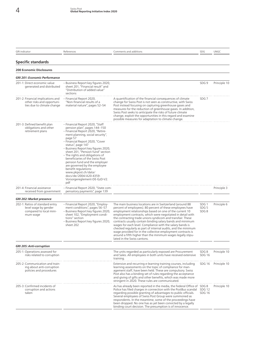### **Specific standards**

### **200 Economic Disclosures**

| <b>GRI 201: Economic Performance</b>                                                           |                                                                                                                                                                                                                                                                                                                                                                                                                                                                                                                                                |                                                                                                                                                                                                                                                                                                                                                                                                                                                                                                                                                                                                                                                                        |                                              |              |
|------------------------------------------------------------------------------------------------|------------------------------------------------------------------------------------------------------------------------------------------------------------------------------------------------------------------------------------------------------------------------------------------------------------------------------------------------------------------------------------------------------------------------------------------------------------------------------------------------------------------------------------------------|------------------------------------------------------------------------------------------------------------------------------------------------------------------------------------------------------------------------------------------------------------------------------------------------------------------------------------------------------------------------------------------------------------------------------------------------------------------------------------------------------------------------------------------------------------------------------------------------------------------------------------------------------------------------|----------------------------------------------|--------------|
| 201-1: Direct economic value<br>generated and distributed                                      | - Business Report key figures 2020,<br>sheet 201, "Financial result" and<br>"Distribution of added value"<br>sections                                                                                                                                                                                                                                                                                                                                                                                                                          |                                                                                                                                                                                                                                                                                                                                                                                                                                                                                                                                                                                                                                                                        | SDG <sub>9</sub>                             | Principle 10 |
| 201-2: Financial implications and<br>other risks and opportuni-<br>ties due to climate change  | Financial Report 2020,<br>"Non-financial results of a<br>material nature", pages 52-54                                                                                                                                                                                                                                                                                                                                                                                                                                                         | A quantification of the financial consequences of climate<br>change for Swiss Post is not seen as constructive, with Swiss<br>Post instead focusing on capturing greenhouse gases and<br>measures for the reduction of greenhouse gases. In addition,<br>Swiss Post seeks to anticipate the risks of future climate<br>change, exploit the opportunities in this regard and examine<br>possible measures for adaptation to climate change.                                                                                                                                                                                                                             | SDG <sub>7</sub>                             |              |
| 201-3: Defined benefit plan<br>obligations and other<br>retirement plans                       | - Financial Report 2020, "Staff<br>pension plan", pages 144-150<br>- Financial Report 2020, "Retire-<br>ment planning, social security",<br>page 57<br>- Financial Report 2020, "Cover<br>status", page 147<br>– Business Report key figures 2020,<br>sheet 201, "Pension fund" section<br>- The rights and obligations of<br>beneficiaries of the Swiss Post<br>pension fund and the employer<br>are governed by the employee<br>benefit regulations:<br>www.pkpost.ch/data/<br>docs/de/2004/A20-4359-<br>Vorsorgereglement-DE-GzD-V2.<br>pdf |                                                                                                                                                                                                                                                                                                                                                                                                                                                                                                                                                                                                                                                                        |                                              |              |
| 201-4: Financial assistance<br>received from government                                        | - Financial Report 2020, "State com-<br>pensatory payments", page 139                                                                                                                                                                                                                                                                                                                                                                                                                                                                          |                                                                                                                                                                                                                                                                                                                                                                                                                                                                                                                                                                                                                                                                        |                                              | Principle 3  |
| <b>GRI 202: Market presence</b>                                                                |                                                                                                                                                                                                                                                                                                                                                                                                                                                                                                                                                |                                                                                                                                                                                                                                                                                                                                                                                                                                                                                                                                                                                                                                                                        |                                              |              |
| 202-1: Ratios of standard entry<br>level wage by gender<br>compared to local mini-<br>mum wage | - Financial Report 2020, "Employ-<br>ment conditions", pages 56-57<br>- Business Report key figures 2020,<br>sheet 102, "Employment condi-<br>tions" section<br>- Business Report key figures 2020,<br>sheet 202                                                                                                                                                                                                                                                                                                                               | The main business locations are in Switzerland (around 88<br>percent of employees). 80 percent of these employees have<br>employment relationships based on one of the current 10<br>employment contracts, which were negotiated in detail with<br>the contracting trade unions syndicom and transfair. These<br>contracts usually contain binding salary bands and minimum<br>wages for each level. Compliance with the salary bands is<br>checked regularly as part of internal audits, and the minimum<br>wage provided for in the collective employment contracts is<br>around a fifth higher than the minimum wages legally stipu-<br>lated in the Swiss cantons. | SDG <sub>1</sub><br>SDG <sub>5</sub><br>SDG8 | Principle 6  |
| <b>GRI 205: Anti-corruption</b>                                                                |                                                                                                                                                                                                                                                                                                                                                                                                                                                                                                                                                |                                                                                                                                                                                                                                                                                                                                                                                                                                                                                                                                                                                                                                                                        |                                              |              |
| 205-1: Operations assessed for<br>risks related to corruption                                  |                                                                                                                                                                                                                                                                                                                                                                                                                                                                                                                                                | The units regarded as particularly exposed are Procurement<br>and Sales. All employees in both units have received extensive<br>training.                                                                                                                                                                                                                                                                                                                                                                                                                                                                                                                              | SDG8<br><b>SDG 16</b>                        | Principle 10 |
| 205-2: Communication and train-<br>ing about anti-corruption<br>policies and procedures        |                                                                                                                                                                                                                                                                                                                                                                                                                                                                                                                                                | Extensive and recurring e-learning training courses, including<br>learning assessments on the topic of compliance for man-<br>agement staff, have been held. These are compulsory. Swiss<br>Post also has a binding set of rules regarding the acceptance<br>and giving of gifts and other benefits, which was made more<br>stringent in 2020. These rules are communicated.                                                                                                                                                                                                                                                                                           | <b>SDG 16</b>                                | Principle 10 |
| 205-3: Confirmed incidents of<br>corruption and actions<br>taken                               |                                                                                                                                                                                                                                                                                                                                                                                                                                                                                                                                                | As has already been reported in the media, the Federal Office of SDG 8<br>Police has filed charges in connection with the PostBus scandal<br>regarding possible granting of advantages to public officials.<br>Several employees of Swiss Post Group were summoned as<br>respondents. In the meantime, some of the proceedings have<br>been dropped. No one has as yet been convicted by a legally<br>binding court decision. The presumption is of innocence.                                                                                                                                                                                                         | SDG <sub>12</sub><br><b>SDG 16</b>           | Principle 10 |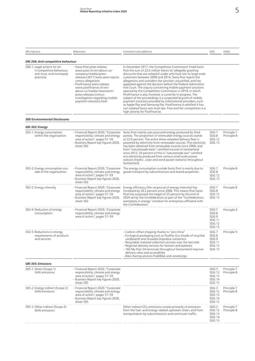| <b>GRI</b> indicator                                                                               | References                                                                                                                                                                                                                                                                                                            | Comments and additions                                                                                                                                                                                                                                                                                                                                                                                                                                                                                                                                                                                                                                                                                                                                                                                                                                                            | SDG                                                                                             | UNGC                       |
|----------------------------------------------------------------------------------------------------|-----------------------------------------------------------------------------------------------------------------------------------------------------------------------------------------------------------------------------------------------------------------------------------------------------------------------|-----------------------------------------------------------------------------------------------------------------------------------------------------------------------------------------------------------------------------------------------------------------------------------------------------------------------------------------------------------------------------------------------------------------------------------------------------------------------------------------------------------------------------------------------------------------------------------------------------------------------------------------------------------------------------------------------------------------------------------------------------------------------------------------------------------------------------------------------------------------------------------|-------------------------------------------------------------------------------------------------|----------------------------|
| GRI 206: Anti-competitive behaviour                                                                |                                                                                                                                                                                                                                                                                                                       |                                                                                                                                                                                                                                                                                                                                                                                                                                                                                                                                                                                                                                                                                                                                                                                                                                                                                   |                                                                                                 |                            |
| 206-1: Legal actions for an-<br>ti-competitive behaviour,<br>anti-trust, and monopoly<br>practices | - Swiss Post press release:<br>www.post.ch/en/about-us/<br>company/media/press-<br>releases/2017/swiss-post-rejects-<br>comco-allegations<br>- PostFinance press release:<br>www.postfinance.ch/en/<br>about-us/media/newsroom/<br>press-releases/comco-<br>investigation-regarding-mobile-<br>payment-solutions.html | In December 2017, the Competition Commission fined Swiss<br>Post the sum of 22.6 million francs for allegedly granting<br>discounts that are unlawful under anti-trust law to large-scale<br>customers between 2009 and 2014. Swiss Post rejects the<br>allegations and considers the sanction unjustified, and has<br>appealed against the decision before the Federal Administra-<br>tive Court. The inquiry concerning mobile payment solutions<br>opened by the Competition Commission in 2018, in which<br>PostFinance is also involved, is currently in progress. The<br>subject of the proceedings is a suspected boycott of mobile<br>payment solutions provided by international providers, such<br>as Apple Pay and Samsung Pay. PostFinance is satisfied it has<br>not violated Swiss anti-trust law. Free and fair competition is a<br>high priority for PostFinance. |                                                                                                 |                            |
| <b>300 Environmental Disclosures</b>                                                               |                                                                                                                                                                                                                                                                                                                       |                                                                                                                                                                                                                                                                                                                                                                                                                                                                                                                                                                                                                                                                                                                                                                                                                                                                                   |                                                                                                 |                            |
| GRI 302: Energy                                                                                    |                                                                                                                                                                                                                                                                                                                       |                                                                                                                                                                                                                                                                                                                                                                                                                                                                                                                                                                                                                                                                                                                                                                                                                                                                                   |                                                                                                 |                            |
| 302-1: Energy consumption<br>within the organization                                               | - Financial Report 2020, "Corporate<br>responsibility: climate and energy<br>area of action", pages 57-59<br>- Business Report key figures 2020,<br>sheet 302                                                                                                                                                         | Swiss Post mainly uses procured energy produced by third<br>parties. The proportion of renewable energy sources stands<br>at 22.0 percent. The entire three-wheeled delivery fleet is<br>powered by electricity from renewable sources. This electricity<br>has been obtained from renewable sources since 2008, and<br>from "naturemade basic"-certified sources in Switzerland<br>since 2013. 20 percent of this is "naturemade star"-certified<br>eco-electricity produced from various small-scale power<br>stations (hydro-, solar and wind power stations) throughout<br>Switzerland.                                                                                                                                                                                                                                                                                       | SDG <sub>7</sub><br>SDG8<br><b>SDG 12</b><br>SDG <sub>13</sub>                                  | Principle 7<br>Principle 8 |
| 302-2: Energy consumption out-<br>side of the organization                                         | - Financial Report 2020, "Corporate<br>responsibility: climate and energy<br>area of action", pages 57-59<br>– Business Report key figures 2020,<br>sheet 302                                                                                                                                                         | The energy consumption outside Swiss Post is mainly due to<br>goods transport by subcontractors and leased properties.                                                                                                                                                                                                                                                                                                                                                                                                                                                                                                                                                                                                                                                                                                                                                            | SDG <sub>7</sub><br>SDG8<br><b>SDG 12</b><br><b>SDG 13</b>                                      | Principle 8                |
| 302-3: Energy intensity                                                                            | - Financial Report 2020, "Corporate<br>responsibility: climate and energy<br>area of action", pages 57-59<br>- Business Report key figures 2020,<br>sheet 302                                                                                                                                                         | Energy efficiency (the reciprocal of energy intensity) has<br>increased by 29.2 percent since 2006. This means that Swiss<br>Post has surpassed the target of 25 percent by the end of<br>2020 set by the Confederation as part of the "Confederation:<br>exemplary in energy" initiative for enterprises affiliated with<br>the Confederation.                                                                                                                                                                                                                                                                                                                                                                                                                                                                                                                                   | SDG <sub>7</sub><br>SDG8<br><b>SDG 12</b><br>SDG <sub>13</sub>                                  | Principle 8                |
| 302-4: Reduction of energy<br>consumption                                                          | - Financial Report 2020, "Corporate<br>responsibility: climate and energy<br>area of action", pages 57-59                                                                                                                                                                                                             |                                                                                                                                                                                                                                                                                                                                                                                                                                                                                                                                                                                                                                                                                                                                                                                                                                                                                   | SDG <sub>7</sub><br>SDG8<br>SDG <sub>9</sub><br><b>SDG 11</b><br><b>SDG 12</b><br><b>SDG 13</b> | Principle 9                |
| 302-5: Reductions in energy<br>requirements of products<br>and services                            |                                                                                                                                                                                                                                                                                                                       | - Carbon-offset shipping thanks to "pro clima"<br>– Ecological packaging such as PostPac Eco (made of recycled<br>cardboard) and reusable Dispobox containers<br>- Recyclable material collection services over the last mile<br>- Regional delivery services for farmers and bakeries<br>- 183 My Post 24 terminals throughout Switzerland improve<br>delivery rates and accessibility<br>- Bike sharing services PubliBike and carvelo2go                                                                                                                                                                                                                                                                                                                                                                                                                                       | SDG <sub>7</sub><br>SDG8<br>SDG <sub>9</sub><br><b>SDG 11</b><br><b>SDG 12</b><br><b>SDG 13</b> | Principle 9                |
| <b>GRI 305: Emissions</b>                                                                          |                                                                                                                                                                                                                                                                                                                       |                                                                                                                                                                                                                                                                                                                                                                                                                                                                                                                                                                                                                                                                                                                                                                                                                                                                                   |                                                                                                 |                            |
| 305-1: Direct (Scope 1)<br><b>GHG</b> emissions                                                    | - Financial Report 2020, "Corporate<br>responsibility: climate and energy<br>area of action", pages 57-59<br>– Business Report key figures 2020,<br>sheet 305                                                                                                                                                         |                                                                                                                                                                                                                                                                                                                                                                                                                                                                                                                                                                                                                                                                                                                                                                                                                                                                                   | SDG <sub>3</sub><br><b>SDG 12</b><br><b>SDG 13</b><br><b>SDG 14</b><br><b>SDG 15</b>            | Principle 7<br>Principle 8 |
| 305-2: Energy indirect (Scope 2)<br><b>GHG</b> emissions                                           | - Financial Report 2020, "Corporate<br>responsibility: climate and energy<br>area of action", pages 57-59<br>– Business Report key figures 2020,<br>sheet 305                                                                                                                                                         |                                                                                                                                                                                                                                                                                                                                                                                                                                                                                                                                                                                                                                                                                                                                                                                                                                                                                   | SDG <sub>3</sub><br>SDG <sub>12</sub><br><b>SDG 13</b><br><b>SDG 14</b><br><b>SDG 15</b>        | Principle 7<br>Principle 8 |
| 305-3: Other indirect (Scope 3)<br><b>GHG</b> emissions                                            |                                                                                                                                                                                                                                                                                                                       | Other indirect $CO2$ emissions consist primarily of emissions<br>from the fuel- and energy-related upstream chain, and from<br>transportation by subcontractors and commuter traffic.                                                                                                                                                                                                                                                                                                                                                                                                                                                                                                                                                                                                                                                                                             | SDG <sub>3</sub><br><b>SDG 12</b><br><b>SDG 13</b><br><b>SDG 14</b><br><b>SDG 15</b>            | Principle 7<br>Principle 8 |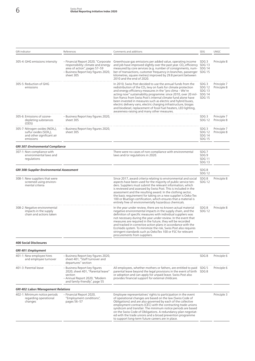| <b>GRI</b> indicator                                                                                                        | References                                                                                                                                                    | Comments and additions                                                                                                                                                                                                                                                                                                                                                                                                                                                                                                                                                                 | SDG                                                                                      | UNGC                       |
|-----------------------------------------------------------------------------------------------------------------------------|---------------------------------------------------------------------------------------------------------------------------------------------------------------|----------------------------------------------------------------------------------------------------------------------------------------------------------------------------------------------------------------------------------------------------------------------------------------------------------------------------------------------------------------------------------------------------------------------------------------------------------------------------------------------------------------------------------------------------------------------------------------|------------------------------------------------------------------------------------------|----------------------------|
| 305-4: GHG emissions intensity                                                                                              | - Financial Report 2020, "Corporate<br>responsibility: climate and energy<br>area of action", pages 57-59<br>- Business Report key figures 2020,<br>sheet 305 | Greenhouse gas emissions per added value, operating income<br>and job have improved slightly over the past year. $CO2$ efficiency SDG 13<br>measured by core services (e.g. number of consignments, num-SDG 14<br>ber of transactions, customer frequency in branches, passenger SDG 15<br>kilometres, square metres) improved by 29.8 percent between<br>2010 and the end of 2020.                                                                                                                                                                                                    | SDG <sub>3</sub>                                                                         | Principle 8                |
| 305-5: Reduction of GHG<br>emissions                                                                                        |                                                                                                                                                               | In 2010. Swiss Post decided to use the annual funds from the<br>redistribution of the $CO2$ levy on fuels for climate protection<br>and energy efficiency measures in the "pro clima - We're<br>acting now" sustainability programme: since 2010, over 20 mil-<br>lion francs from Swiss Post's internal climate fund alone have<br>been invested in measures such as electric and hybrid buses,<br>electric delivery vans, electric charging infrastructure, biogas<br>and biodiesel, replacement of fossil fuel heaters, LED lighting,<br>awareness-raising and many other measures. | SDG <sub>3</sub><br><b>SDG 12</b><br><b>SDG 13</b><br>SDG <sub>14</sub><br><b>SDG 15</b> | Principle 7<br>Principle 8 |
| 305-6: Emissions of ozone-<br>depleting substances<br>(ODS)                                                                 | - Business Report key figures 2020,<br>sheet 305                                                                                                              |                                                                                                                                                                                                                                                                                                                                                                                                                                                                                                                                                                                        | SDG <sub>3</sub><br><b>SDG 12</b>                                                        | Principle 7<br>Principle 8 |
| 305-7: Nitrogen oxides (NOX <sub>x</sub> ),<br>sulfur oxides (SOX <sub>x</sub> ),<br>and other significant air<br>emissions | - Business Report key figures 2020,<br>sheet 305                                                                                                              |                                                                                                                                                                                                                                                                                                                                                                                                                                                                                                                                                                                        | SDG <sub>3</sub><br><b>SDG 12</b><br><b>SDG 14</b><br><b>SDG 15</b>                      | Principle 7<br>Principle 8 |
| <b>GRI 307: Environmental Compliance</b>                                                                                    |                                                                                                                                                               |                                                                                                                                                                                                                                                                                                                                                                                                                                                                                                                                                                                        |                                                                                          |                            |
| 307-1: Non-compliance with<br>environmental laws and<br>regulations                                                         |                                                                                                                                                               | There were no cases of non-compliance with environmental<br>laws and/or regulations in 2020.                                                                                                                                                                                                                                                                                                                                                                                                                                                                                           | SDG <sub>7</sub><br>SDG <sub>9</sub><br><b>SDG 11</b><br><b>SDG 13</b>                   |                            |
| <b>GRI 308: Supplier Environmental Assessment</b>                                                                           |                                                                                                                                                               |                                                                                                                                                                                                                                                                                                                                                                                                                                                                                                                                                                                        | SDG8<br><b>SDG 12</b>                                                                    |                            |
| 308-1: New suppliers that were<br>screened using environ-<br>mental criteria                                                |                                                                                                                                                               | Since 2017, award criteria relating to environmental and social<br>aspects have been used for the majority of public service ten-<br>ders. Suppliers must submit the relevant information, which<br>is reviewed and assessed by Swiss Post. This is included in the<br>assessment and the resulting award. In the clothing sector,<br>the basic requirement for taking on a new supplier is Oeko-Tex<br>100 or BlueSign certification, which ensures that a material is<br>entirely free of environmentally hazardous chemicals.                                                       | SDG8<br><b>SDG 12</b>                                                                    | Principle 8                |
| 308-2: Negative environmental<br>impacts in the supply<br>chain and actions taken                                           |                                                                                                                                                               | In the year under review, there are no known actual material<br>negative environmental impacts in the supply chain, and the<br>definition of specific measures with individual suppliers was<br>not necessary during the year under review. In the event that<br>measures are required in the future, they will be recorded<br>and tracked in corrective action plans in accordance with the<br>EcoVadis system. To minimize the risk, Swiss Post also requires<br>stringent standards such as OekoTex 100 or FSC for relevant<br>procurements from suppliers.                         | SDG8<br><b>SDG 12</b>                                                                    | Principle 8                |
| <b>400 Social Disclosures</b>                                                                                               |                                                                                                                                                               |                                                                                                                                                                                                                                                                                                                                                                                                                                                                                                                                                                                        |                                                                                          |                            |
| GRI 401: Employment                                                                                                         |                                                                                                                                                               |                                                                                                                                                                                                                                                                                                                                                                                                                                                                                                                                                                                        |                                                                                          |                            |
| 401-1: New employee hires<br>and employee turnover                                                                          | - Business Report key figures 2020,<br>sheet 401, "Staff turnover and<br>departures" section                                                                  |                                                                                                                                                                                                                                                                                                                                                                                                                                                                                                                                                                                        | SDG8                                                                                     | Principle 6                |
| 401-3: Parental leave                                                                                                       | - Business Report key figures<br>2020, sheet 401, "Parental leave"<br>section<br>- Annual Report 2020, "Modern<br>and family-friendly", page 55               | All employees, whether mothers or fathers, are entitled to paid SDG 5<br>parental leave beyond the legal provisions in the event of birth SDG 8<br>or adoption and can apply for unpaid leave. Swiss Post also<br>provides financial support for external childcare.                                                                                                                                                                                                                                                                                                                   |                                                                                          | Principle 6                |
| <b>GRI 402: Labor/Management Relations</b>                                                                                  |                                                                                                                                                               |                                                                                                                                                                                                                                                                                                                                                                                                                                                                                                                                                                                        |                                                                                          |                            |
| 402-1: Minimum notice periods<br>regarding operational<br>changes                                                           | - Financial Report 2020,<br>"Employment conditions",<br>pages 56-57                                                                                           | Employee representatives' rights to participation in the event<br>of operational changes are based on the law (Swiss Code of<br>Obligations) and are also governed by each of the collective<br>employment contracts (CEC) with the contracting trade unions<br>syndicom and transfair. The minimum notice periods are based<br>on the Swiss Code of Obligations. A redundancy plan negotiat-<br>ed with the trade unions and a broad prevention programme<br>to support long-term future careers are in place.                                                                        |                                                                                          | Principle 3                |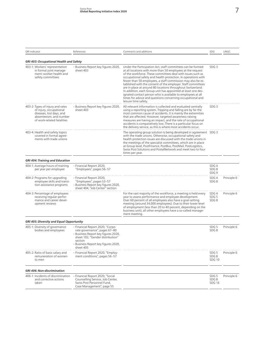| <b>GRI</b> indicator                                                                                                                             | References                                                                                                                                                                                                  | Comments and additions                                                                                                                                                                                                                                                                                                                                                                                                                                                                                                                                                                                                                                                        | SDG                                          | UNGC        |
|--------------------------------------------------------------------------------------------------------------------------------------------------|-------------------------------------------------------------------------------------------------------------------------------------------------------------------------------------------------------------|-------------------------------------------------------------------------------------------------------------------------------------------------------------------------------------------------------------------------------------------------------------------------------------------------------------------------------------------------------------------------------------------------------------------------------------------------------------------------------------------------------------------------------------------------------------------------------------------------------------------------------------------------------------------------------|----------------------------------------------|-------------|
| <b>GRI 403: Occupational Health and Safety</b>                                                                                                   |                                                                                                                                                                                                             |                                                                                                                                                                                                                                                                                                                                                                                                                                                                                                                                                                                                                                                                               |                                              |             |
| 403-1: Workers' representation<br>in formal joint manage-<br>ment-worker health and<br>safety committees                                         | - Business Report key figures 2020,<br>sheet 403                                                                                                                                                            | Under the Participation Act, staff committees can be formed<br>at all locations with more than 50 employees at the request<br>of the workforce. These committees deal with issues such as<br>occupational safety and health protection. In operations with<br>fewer than 50 employees, a staff commission may also be es-<br>tablished with the consent of the employer. Staff committees<br>are in place at around 80 locations throughout Switzerland.<br>In addition, each Group unit has appointed at least one des-<br>ignated contact person who is available to employees at all<br>times for advice and questions concerning occupational and<br>leisure time safety. | SDG <sub>3</sub>                             |             |
| 403-2: Types of injury and rates<br>of injury, occupational<br>diseases, lost days, and<br>absenteeism, and number<br>of work-related fatalities | - Business Report key figures 2020,<br>sheet 403                                                                                                                                                            | All relevant information is collected and evaluated centrally<br>using a reporting system. Tripping and falling are by far the<br>most common cause of accidents. It is mainly the extremities<br>that are affected. However, targeted awareness-raising<br>measures are having an impact, and the rate of occupational<br>accidents is comparatively low. There is a particular focus on<br>the delivery service, as this is where most accidents occur.                                                                                                                                                                                                                     | SDG <sub>3</sub>                             |             |
| 403-4: Health and safety topics<br>covered in formal agree-<br>ments with trade unions                                                           |                                                                                                                                                                                                             | The operating group solution is being developed in agreement SDG 3<br>with the trade unions. Otherwise, occupational safety and<br>health protection issues are discussed with the trade unions in<br>the meetings of the specialist committees, which are in place<br>at Group level, PostFinance, PostBus, PostMail, PostLogistics,<br>Swiss Post Solutions and PostalNetwork and meet two to four<br>times per year.                                                                                                                                                                                                                                                       |                                              |             |
| <b>GRI 404: Training and Education</b>                                                                                                           |                                                                                                                                                                                                             |                                                                                                                                                                                                                                                                                                                                                                                                                                                                                                                                                                                                                                                                               |                                              |             |
| 404-1: Average hours of training<br>per year per employee                                                                                        | - Financial Report 2020,<br>"Employees", pages 56-57                                                                                                                                                        |                                                                                                                                                                                                                                                                                                                                                                                                                                                                                                                                                                                                                                                                               | SDG4<br>SDG8<br>SDG <sub>9</sub>             |             |
| 404-2: Programs for upgrading<br>employee skills and transi-<br>tion assistance programs                                                         | - Financial Report 2020,<br>"Employees", pages 53-57<br>- Business Report key figures 2020,<br>sheet 404, "Job Center" section                                                                              |                                                                                                                                                                                                                                                                                                                                                                                                                                                                                                                                                                                                                                                                               | SDG4<br>SDG <sub>8</sub>                     | Principle 6 |
| 404-3: Percentage of employees<br>receiving regular perfor-<br>mance and career devel-<br>opment reviews                                         |                                                                                                                                                                                                             | For the vast majority of the workforce, a meeting is held every<br>year to assess performance and employee development.<br>Over 60 percent of all employees also have a goal-setting<br>meeting (around 34,000 employees). Due to their lower level<br>of employment (less than 20 to 40 percent, depending on the<br>business unit), all other employees have a so-called manage-<br>ment meeting.                                                                                                                                                                                                                                                                           | SDG4<br>SDG <sub>5</sub><br>SDG <sub>8</sub> | Principle 6 |
| <b>GRI 405: Diversity and Equal Opportunity</b>                                                                                                  |                                                                                                                                                                                                             |                                                                                                                                                                                                                                                                                                                                                                                                                                                                                                                                                                                                                                                                               |                                              |             |
| 405-1: Diversity of governance<br>bodies and employees                                                                                           | - Financial Report 2020, "Corpo-<br>rate governance", pages 67-80<br>- Business Report key figures 2020,<br>sheet 102, "Gender distribution"<br>section<br>- Business Report key figures 2020,<br>sheet 405 |                                                                                                                                                                                                                                                                                                                                                                                                                                                                                                                                                                                                                                                                               | SDG <sub>5</sub><br>SDG8                     | Principle 6 |
| 405-2: Ratio of basic salary and<br>remuneration of women<br>to men                                                                              | - Financial Report 2020, "Employ-<br>ment conditions", pages 56-57                                                                                                                                          |                                                                                                                                                                                                                                                                                                                                                                                                                                                                                                                                                                                                                                                                               | SDG 5<br>SDG8<br><b>SDG 10</b>               | Principle 6 |
| <b>GRI 406: Non-discrimination</b>                                                                                                               |                                                                                                                                                                                                             |                                                                                                                                                                                                                                                                                                                                                                                                                                                                                                                                                                                                                                                                               |                                              |             |
| 406-1: Incidents of discrimination<br>and corrective actions<br>taken                                                                            | - Financial Report 2020, "Social<br>Counselling Service, Job Center,<br>Swiss Post Personnel Fund,<br>Case Management", page 55                                                                             |                                                                                                                                                                                                                                                                                                                                                                                                                                                                                                                                                                                                                                                                               | SDG <sub>5</sub><br>SDG8<br><b>SDG 16</b>    | Principle 6 |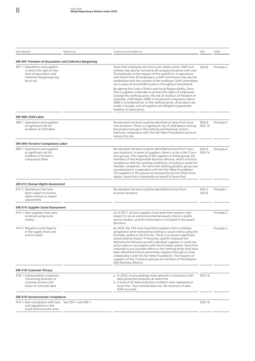| <b>GRI</b> indicator                                                                                                                | References | Comments and additions                                                                                                                                                                                                                                                                                                                                                                                                                                                                                                                                                                                                                                                                                     | SDG                      | <b>UNGC</b> |
|-------------------------------------------------------------------------------------------------------------------------------------|------------|------------------------------------------------------------------------------------------------------------------------------------------------------------------------------------------------------------------------------------------------------------------------------------------------------------------------------------------------------------------------------------------------------------------------------------------------------------------------------------------------------------------------------------------------------------------------------------------------------------------------------------------------------------------------------------------------------------|--------------------------|-------------|
| <b>GRI 407: Freedom of Association and Collective Bargaining</b>                                                                    |            |                                                                                                                                                                                                                                                                                                                                                                                                                                                                                                                                                                                                                                                                                                            |                          |             |
| 407-1: Operations and suppliers<br>in which the right to free-<br>dom of association and<br>collective bargaining may<br>be at risk |            | Swiss Post employees are free to join trade unions. Staff com-<br>mittees may also be formed at all company locations with over<br>50 employees at the request of the workforce. In operations<br>with fewer than 50 employees, a staff commission may also be<br>established with the consent of the employer. Staff committees<br>are in place at around 80 locations throughout Switzerland.                                                                                                                                                                                                                                                                                                            | SDG8                     | Principle 3 |
|                                                                                                                                     |            | By signing the Code of Ethics and Social Responsibility, Swiss<br>Post's suppliers undertake to protect the rights of employees.<br>Outside the clothing sector, the risk of violation of freedom of<br>assembly, child labour (408) or forced and compulsory labour<br>(409) is considered low. In the clothing sector, all products are<br>made in Europe, and all suppliers are obliged to guarantee<br>freedom of association.                                                                                                                                                                                                                                                                         |                          |             |
| GRI 408: Child Labor                                                                                                                |            |                                                                                                                                                                                                                                                                                                                                                                                                                                                                                                                                                                                                                                                                                                            |                          |             |
| 408-1: Operations and suppliers<br>at significant risk for<br>incidents of child labor                                              |            | No elevated risk level could be identified at Swiss Post's busi-<br>ness locations. There is a significant risk of child labour among<br>the product groups in the clothing and footwear sectors.<br>Intensive cooperation with the Fair Wear Foundation serves to<br>reduce this risk.                                                                                                                                                                                                                                                                                                                                                                                                                    | SDG8<br><b>SDG 16</b>    | Principle 5 |
| GRI 409: Forced or Compulsory Labor                                                                                                 |            |                                                                                                                                                                                                                                                                                                                                                                                                                                                                                                                                                                                                                                                                                                            |                          |             |
| 409-1: Operations and suppliers<br>at significant risk for<br>incidents of forced or<br>compulsory labor                            |            | No elevated risk level could be identified at Swiss Post's busi-<br>ness locations. In terms of suppliers, there is a risk in the IT pro-<br>duct groups. The majority of the suppliers in these groups are<br>members of the Responsible Business Alliance, which monitors<br>compliance with fair working conditions, including in audits for<br>member companies. The risk in the clothing product group was<br>counteracted in cooperation with the Fair Wear Foundation.<br>The suppliers in this group are assessed by the Fair Wear Foun-<br>dation, Swiss Post or externally on behalf of Swiss Post.                                                                                              | SDG8<br><b>SDG 16</b>    | Principle 4 |
| <b>GRI 412: Human Rights Assessment</b>                                                                                             |            |                                                                                                                                                                                                                                                                                                                                                                                                                                                                                                                                                                                                                                                                                                            |                          |             |
| 412-1: Operations that have<br>been subject to human<br>rights reviews or impact<br>assessments                                     |            | No elevated risk level could be identified at Swiss Post's<br>business locations.                                                                                                                                                                                                                                                                                                                                                                                                                                                                                                                                                                                                                          | SDG <sub>3</sub><br>SDG8 | Principle 1 |
| <b>GRI 414: Supplier Social Assessment</b>                                                                                          |            |                                                                                                                                                                                                                                                                                                                                                                                                                                                                                                                                                                                                                                                                                                            |                          |             |
| 414-1: New suppliers that were<br>screened using social<br>criteria                                                                 |            | As of 2017, all new suppliers must state their position with<br>respect to social and environmental award criteria in public<br>service tenders, and this information is included in the award<br>decisions.                                                                                                                                                                                                                                                                                                                                                                                                                                                                                               |                          | Principle 2 |
| 414-2: Negative social impacts<br>in the supply chain and<br>actions taken                                                          |            | By 2020, the 234 most important suppliers from a strategic<br>perspective were reviewed according to social criteria using the<br>EcoVadis system in the first tier. There is no known significant<br>actual adverse impact. If necessary, specific measures are<br>defined and followed up with individual suppliers in corrective<br>action plans in accordance with the EcoVadis system. Swiss Post<br>responds to any possible effects in the clothing sector that have<br>been identified and are potentially negative through its close<br>collaboration with the Fair Wear Foundation. The majority of<br>suppliers of the IT product groups are members of the Respon-<br>sible Business Alliance. |                          | Principle 2 |
| <b>GRI 418: Customer Privacy</b>                                                                                                    |            |                                                                                                                                                                                                                                                                                                                                                                                                                                                                                                                                                                                                                                                                                                            |                          |             |
| 418-1: Substantiated complaints<br>concerning breaches of<br>customer privacy and<br>losses of customer data                        |            | a. In 2020, no proceedings were opened in connection with<br>data protection breaches at Swiss Post.<br>b. A total of 43 data protection incidents were registered at<br>Swiss Post. Two involved data loss. No instances of data<br>theft occurred.                                                                                                                                                                                                                                                                                                                                                                                                                                                       | <b>SDG 16</b>            |             |
| <b>GRI 419: Socioeconomic Compliance</b>                                                                                            |            |                                                                                                                                                                                                                                                                                                                                                                                                                                                                                                                                                                                                                                                                                                            |                          |             |
| 419-1: Non-compliance with laws See 205-1 and 206-1<br>and regulations in the<br>social and economic area                           |            |                                                                                                                                                                                                                                                                                                                                                                                                                                                                                                                                                                                                                                                                                                            | <b>SDG 16</b>            |             |
|                                                                                                                                     |            |                                                                                                                                                                                                                                                                                                                                                                                                                                                                                                                                                                                                                                                                                                            |                          |             |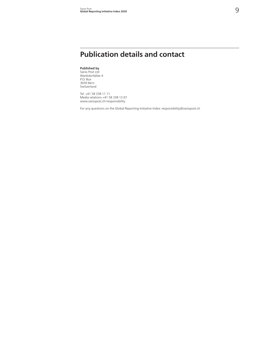## **Publication details and contact**

#### **Published by**

Swiss Post Ltd Wankdorfallee 4 P.O. Box 3030 Bern Switzerland

Tel. +41 58 338 11 11 Media relations +41 58 338 13 07 [www.swisspost.ch](http://www.post.ch/verantwortung)/responsibility

For any questions on the Global Reporting Initiative Index: [responsibility@swisspost.ch](mailto:verantwortung%40post.ch?subject=)